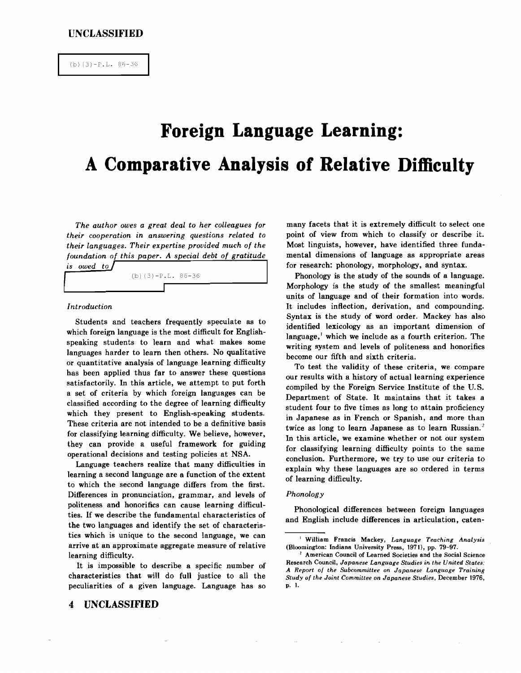# **Foreign Language Learning: A Comparative Analysis of Relative Difficulty**

*The author owes a great deal to her colleagues for their cooperation in answering questions related to their languages. Their expertise provided much of the foundation of this paper. A special debt of gratitude*



## *Introduction*

Students and teachers frequently speculate as to which foreign language is the most difficult for Englishspeaking students to learn and what makes some languages harder to learn then others. No qualitative or quantitative analysis of language learning difficulty has been applied thus far to answer these questions satisfactorily. In this article, we attempt to put forth a set of criteria by which foreign languages can be classified according to the degree of learning difficulty which they present to English-speaking students. These criteria are not intended to be a definitive basis for classifying learning difficulty. We believe, however, they can provide a useful framework for guiding operational decisions and testing policies at NSA.

Language teachers realize that many difficulties in learning a second language are a function of the extent to which the second language differs from the first. Differences in pronunciation, grammar, and levels of politeness and honorifics can cause learning difficulties. If we describe the fundamental characteristics of the two languages and identify the set of characteristics which is unique to the second language, we can arrive at an approximate aggregate measure of relative learning difficulty.

It is impossible to describe a specific number of characteristics that will do full justice to all the peculiarities of a given language. Language has so

**4 UNCLASSIFIED**

many facets that it is extremely difficult to select one point of view from which to classify or describe it. Most linguists, however, have identified three fundamental dimensions of language as appropriate areas for research: phonology, morphology, and syntax.

Phonology is the study of the sounds of a language. Morphology is the study of the smallest meaningful units of language and of their formation into words. It includes inflection, derivation, and compounding. Syntax is the study of word order. Mackey has also identified lexicology as an important dimension of language, $\mathbf{i}$  which we include as a fourth criterion. The writing system and levels of politeness and honorifics become our fifth and sixth criteria.

To test the validity of these criteria, we compare our results with a history of actual learning experience compiled by the Foreign Service Institute of the U.S. Department of State. It maintains that it takes a student four to five times as long to attain proficiency in Japanese as in French or Spanish, and more than twice as long to learn Japanese as to learn Russian.<sup>2</sup> In this article, we examine whether or not our system for classifying learning difficulty points to the same conclusion. Furthermore, we try to use our criteria to explain why these languages are so ordered in terms of learning difficulty.

#### *Phonology*

Phonological differences between foreign languages and English include differences in articulation, eaten-

<sup>I</sup> William Francis Mackey, *Language Teaching Analysis* (Bloomington: Indiana University Press, 1970, pp. 79-97.

<sup>,</sup> American Council of Learned Societies and the Social Science Research Council, *Japanese Language Studies in the United States: A Report o] the Subcommittee on Japanese Language Training Study* o{ *the Joint Committee on Japanese Studies,* December 1976, p. 1.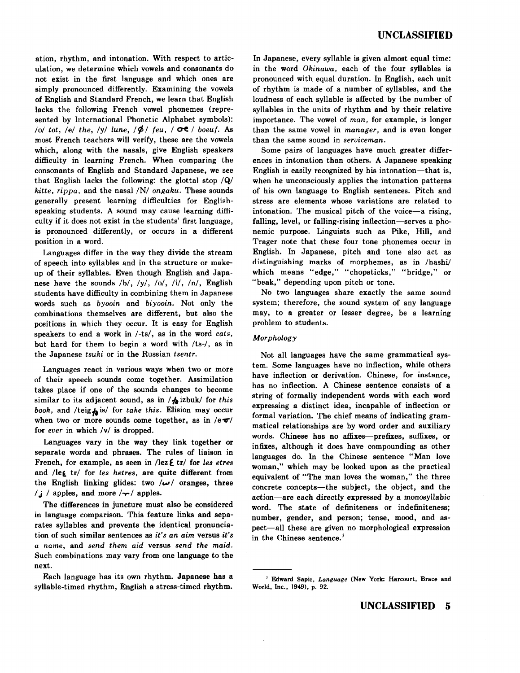ation, rhythm, and intonation. With respect to articulation, we determine which vowels and consonants do not exist in the first language and which ones are simply pronounced differently. Examining the vowels of English and Standard French, we learn that English lacks the following French vowel phonemes (represented by International Phonetic Alphabet symbols): */o/ tot, /e/ the, /y/ lune,*  $/\cancel{\phi}$ */ feu, /*  $\phi$ <sup>2</sup>/ *boeuf.* As most French teachers will verify, these are the vowels which, along with the nasals, give English speakers difficulty in learning French. When comparing the consonants of English and Standard Japanese, we see that English lacks the following: the glottal stop  $\overline{Q}$ *hitte, rippa,* and the nasal /N/ *ongaku.* These sounds generally present learning difficulties for Englishspeaking students. A sound may cause learning difficulty if it does not exist in the students' first language, is pronounced differently, or occurs in a different position in a word.

Languages differ in the way they divide the stream of speech into syllables and in the structure or makeup of their syllables. Even though English and Japanese have the sounds /b/, /y/, /o/, /i/, /n/, English students have difficulty in combining them in Japanese words such as *byooin* and *biyooin:* Not only the combinations themselves are different, but also the positions in which they occur. It is easy for English speakers to end a work in *I-ts/,* as in the word *cats,* but hard for them to begin a word with *lte-},* as in the Japanese *tsuki* or in the Russian *tsentr.*

Languages react in various ways when two or more of their speech sounds come together. Assimilation takes place if one of the sounds changes to become similar to its adjacent sound, as in / $\phi$  izbuk/ for *this book*, and /teig $\phi$  is/ for *take this*. Elision may occur when two or more sounds come together, as in  $/e\sigma/$ . for *ever* in which /v/ is dropped.

Languages vary in the way they link together or separate words and phrases. The rules of liaison in French, for example, as seen in */lez*  $\epsilon$  tr/ for *les etres* and /leg tr/ for *les hetres*, are quite different from the English linking glides: two  $/\omega/$  oranges, three  $/j$  / apples, and more  $/\gamma$  apples.

The differences in juncture must also be considered in language comparison. This feature links and separates syllables and prevents the identical pronunciation of such similar sentences as *it's an aim* versus *it's* a *name,* and *send them aid* versus *send the maid.* Such combinations may vary from one language to the next.

Each language has its own rhythm. Japanese has a syllable-timed rhythm, English a stress-timed rhythm. In Japanese, every syllable is given almost equal time: in the word *Okinawa,* each of the four syllables is pronounced with equal duration. In English, each unit of rhythm is made of a number of syllables, and the loudness of each syllable is affected by the number of syllables in the units of rhythm and by their relative importance. The vowel of *man,* for example, is longer than the same vowel in *manager.* and is even longer than the same sound in *serviceman.*

Some pairs of languages have much greater differences in intonation than others. A Japanese speaking English is easily recognized by his intonation-that is, when he unconsciously applies the intonation patterns of his own language to English sentences. Pitch and stress are elements whose variations are related to intonation. The musical pitch of the voice-a rising, falling, level, or falling-rising inflection-serves a phonemic purpose. Linguists such as Pike, **Hill,** and Trager note that these four tone phonemes occur in English. In Japanese, pitch and tone also act as distinguishing marks of morphemes, as in /hashi/ which means "edge," "chopsticks," "bridge," or "beak," depending upon pitch or tone.

No two languages share exactly the same sound system; therefore, the sound system of any language may, to a greater or lesser degree, be a learning problem to students.

#### *Morphology*

Not all languages have the same grammatical system. Some languages have no inflection, while others have inflection or derivation. Chinese, for instance, has no inflection. A Chinese sentence consists of a string of formally independent words with each word expressing a distinct idea, incapable of inflection or formal variation. The chief means of indicating grammatical relationships are by word order and auxiliary words. Chinese has no affixes-prefixes, suffixes, or infixes, although it does have compounding as other languages do. In the Chinese sentence "Man love woman," which may be looked upon as the practical equivalent of "The man loves the woman," the three concrete concepts-the subject, the object, and the action-are each directly expressed by a monosyllabic word. The state of definiteness or indefiniteness; number, gender, and person; tense, mood, and aspect-all these are given no morphological expression in the Chinese sentence.<sup>3</sup>

<sup>&</sup>lt;sup>3</sup> Edward Sapir, *Language* (New York: Harcourt, Brace and World, Inc., 1949), p. 92.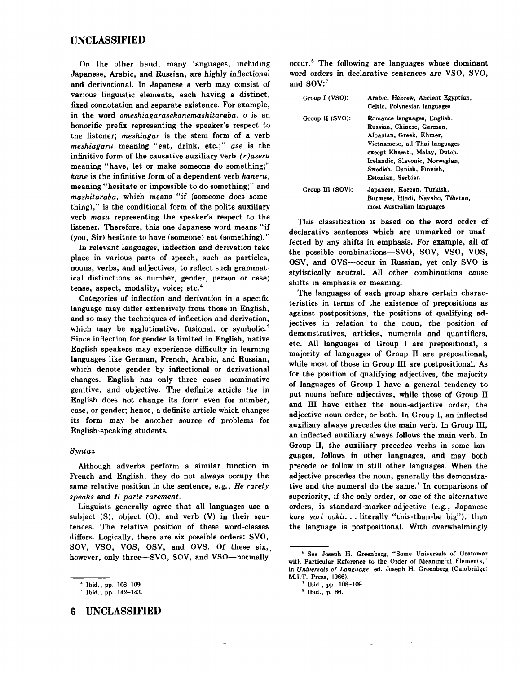On the other hand, many languages, including Japanese, Arabic, and Russian, are highly inflectional and derivational. In Japanese a verb may consist of various linguistic elements, each having a distinct, fixed connotation and separate existence. For example, in the word *omeshiagarasekanemashitaraba,* <sup>0</sup> is an honorific prefix representing the speaker's respect to the listener; *meshiagar* is the stem form of a verb *meshiagaru* meaning "eat, drink, etc.;" *ase* is the infinitive form of the causative auxiliary verb *(r }aseru* meaning "have, let or make someone do something;" *kane* is the infinitive form of a dependent verb *kaneru,* meaning "hesitate or impossible to do something;" and *mashitaraba,* which means "if (someone does something)," is the conditional form of the polite auxiliary verb *masu* representing the speaker's respect to the listener. Therefore, this one Japanese word means "if (you, Sir) hesitate to have (someone) eat (something)."

In relevant languages, inflection and derivation take place in various parts of speech, such as particles, nouns, verbs, and adjectives, to reflect such grammatical distinctions as number, gender, person or case; tense, aspect, modality, voice; etc.<sup>4</sup>

Categories of inflection and derivation in a specific language may differ extensively from those in English, and so may the techniques of inflection and derivation, which may be agglutinative, fusional, or symbolic.<sup>5</sup> Since inflection for gender is limited in English, native English speakers may experience difficulty in learning languages like German, French, Arabic, and Russian, which denote gender by inflectional or derivational changes. English has only three cases-nominative genitive, and objective. The definite article *the* in English does not change its form even for number, case, or gender; hence, a definite article which changes its form may be another source of problems for English-speaking students.

#### *Syntax*

Although adverbs perform a similar function in French and English, they do not always occupy the same relative position in the sentence, e.g., *He rarely speaks* and *Il parle rarement,*

Linguists generally agree that all languages use a subject  $(S)$ , object  $(0)$ , and verb  $(V)$  in their sentences. The relative position of these word-classes differs. Logically, there are six possible orders: SVO, SOV, VSO, VOS, OSV, and OVS. Of these six. however, only three-SVO, SOV, and VSO-normally

 $\omega_{\rm c}$  in  $\omega_{\rm c}$ 

**6 UNCLASSIFIED**

occur." The following are languages whose dominant word orders in declarative sentences are VSO, SVO, and SOV:7

| Group I (VSO):     | Arabic, Hebrew, Ancient Egyptian,<br>Celtic, Polynesian languages                                                                                                                                                                          |
|--------------------|--------------------------------------------------------------------------------------------------------------------------------------------------------------------------------------------------------------------------------------------|
| Group $\Pi$ (SVO): | Romance languages, English.<br>Russian. Chinese. German.<br>Albanian, Greek, Khmer,<br>Vietnamese, all Thai languages<br>except Khamti, Malay, Dutch,<br>Icelandic, Slavonic, Norwegian,<br>Swedish, Danish, Finnish,<br>Estonian. Serbian |
| Group $III$ (SOV): | Japanese, Korean, Turkish,<br>Burmese, Hindi, Navaho, Tibetan,<br>most Australian languages                                                                                                                                                |

This classification is based on the word order of declarative sentences which are unmarked or unaffected by any shifts in emphasis. For example, all of the possible combinations-SVO, SOY, VSO, VOS, OSV, and OVS-occur in Russian, yet only SVO is stylistically neutral. All other combinations cause shifts in emphasis or meaning.

The languages of each group share certain characteristics in terms of the existence of prepositions as against postpositions, the positions of qualifying adjectives in relation to the noun, the position of demonstratives, articles, numerals and quantifiers, etc. All languages of Group I are prepositional, a majority of languages of Group II are prepositional, while most of those in Group III are postpositional. As for the position of qualifying adjectives, the majority of languages of Group I have a general tendency to put nouns before adjectives, while those of Group II and III have either the noun-adjective order, the adjective-noun order, or both. In Group I, an inflected auxiliary always precedes the main verb. In Group III, an inflected auxiliary always follows the main verb. In Group II, the auxiliary precedes verbs in some languages, follows in other languages, and may both precede or follow in still other languages. When the adjective precedes the noun, generally the demonstrative and the numeral do the same. $s$  In comparisons of superiority, if the only order, or one of the alternative orders, is standard-marker-adjective (e.g., Japanese *kore yori ookii.* . . literally "this-than-be big"), then the language is postpositional. With overwhelmingly

• Ibid., p. 86.

<sup>4</sup> Ibid., pp. 108-109.

Ibid., pp. 142-143.

<sup>•</sup> See Joseph H. Greenberg, "Some Universals of Grammar with Particular Reference to the Order of Meaningful Elements,' in *Universals of Language,* ed. Joseph H. Greenberg (Cambridge: M.I.T. Press, 1966).

<sup>7</sup> Ibid., pp. 108-109.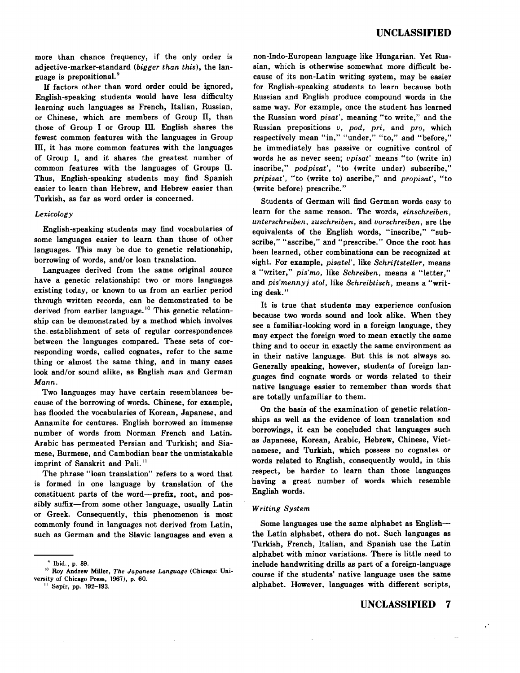more than chance frequency, if the only order is adjective-marker-standard *(bigger than this),* the language is prepositional. <sup>9</sup>

If factors other than word order could be ignored, English-speaking students would have less difficulty learning such languages as French, Italian, Russian, or Chinese, which are members of Group Il, than those of Group I or Group III. English shares the fewest common features with the languages in Group  $III$ , it has more common features with the languages of Group I, and it shares the greatest number of common features with the languages of Groups II. Thus, English-speaking students may find Spanish easier to learn than Hebrew, and Hebrew easier than Turkish, as far as word order is concerned.

#### *Lexicology*

English-speaking students may find vocabularies of some languages easier to learn than those of other languages. This may be due to genetic relationship, borrowing of words, and/or loan translation.

Languages derived from the same original source have a genetic relationship: two or more languages existing today, or known to us from an earlier period through written records, can be demonstrated to be derived from earlier language.<sup>10</sup> This genetic relationship can be demonstrated by a method which involves the, establishment of sets of regular correspondences between the languages compared. These sets of corresponding words, called cognates, refer to the same thing or almost the same thing, and in many cases look and/or sound alike, as English *man* and German *Mann.*

Two languages may have certain resemblances because of the borrowing of words. Chinese, for example, has flooded the vocabularies of Korean, Japanese, and Annamite for centures. English borrowed an immense number of words from Norman French and Latin. Arabic has permeated Persian and Turkish; and Siamese, Burmese, and Cambodian bear the unmistakable imprint of Sanskrit and Pali.<sup>11</sup>

The phrase "loan translation" refers to a word that is formed in one language by translation of the constituent parts of the word-prefix, root, and possibly suffix-from some other language, usually Latin or Greek. Consequently, this phenomenon is most commonly found in languages not derived from Latin, such as German and the Slavic languages and even a non-indo-European language like Hungarian. Yet Russian, which is otherwise somewhat more difficult because of its non-Latin writing system, may be easier for English-speaking students to learn because both Russian and English produce compound words in the same way. For example, once the student has learned the Russian word *pisat',* meaning "to write," and the Russian prepositions *v, pod, pri,* and *pro,* which respectively mean "in," "under," "to," and "before," he immediately has passive or cognitive control of words he as never seen; *opisat'* means "to (write in) inscribe," *podpisat',* "to (write under) subscribe," *pripisat",* "to (write to) ascribe," and *propisat",* "to (write before) prescribe."

Students of German will find German words easy to learn for the same reason. The words, *einschreiben, unterschreiben, zuschreiben,* and *uorschreiben,* are the equivalents of the English words, "inscribe," "subscribe," "ascribe," and "prescribe." Once the root has been learned, other combinations can be recognized at sight. For example, *pisatel',* like *Schriftsteller,* means a "writer," *pis'mo,* like *Schreiben,* means a "letter," and *pis'mennyj stol,* like *Schreibtisch*, means a "writing desk."

It is true that students may experience confusion because two words sound and look alike. When they see a familiar-looking word in a foreign language, they may expect the foreign word to mean exactly the same thing and to occur in exactly the same environment as in their native language. But this is not always so. Generally speaking, however, students of foreign languages find cognate words or words related to their native language easier to remember than words that are totally unfamiliar to them.

On the basis of the examination of genetic relationships as well as the evidence of loan translation and borrowings, it can be concluded that languages such as Japanese, Korean, Arabic, Hebrew, Chinese, Vietnamese, and Turkish, which possess no cognates or words related to English, consequently would, in this respect, be harder to learn than those languages having a great number of words which resemble English words.

#### *Writing System*

Some languages use the same alphabet as Englishthe Latin alphabet, others do not. Such languages as Turkish, French, Italian, and Spanish use the Latin alphabet with minor variations. There is little need to include handwriting drills as part of a foreign-language course if the students' native language uses the same alphabet. However, languages with different scripts,

# **UNCLASSIFIED 7**

 $\epsilon^2$ 

v Ibid., p. 89.

<sup>10</sup> Roy Andrew Miller, *The Japanese Language* (Chicago: University of Chicago Press, 1967), p. 60.

<sup>&</sup>quot; Sapir, pp, 192-193.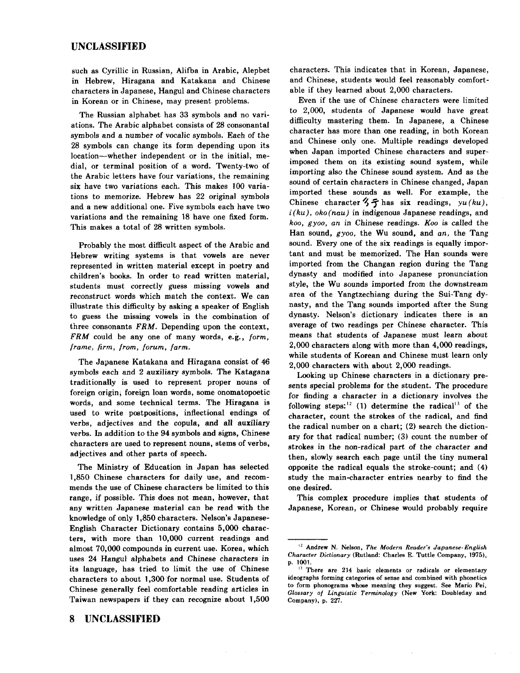such as Cyrillic in Russian, Alifba in Arabic, Alepbet in Hebrew, Hiragana and Katakana and Chinese characters in Japanese, Hangul and Chinese characters in Korean or in Chinese, may present problems.

The Russian alphabet has 33 symbols and no variations. The Arabic alphabet consists of 28 consonantal symbols and a number of vocalic symbols. Each of the 28 symbols can change its form depending upon its location-whether independent or in the initial, medial, or terminal position of a word. Twenty-two of the Arabic letters have four variations, the remaining six have two variations each. This makes 100 variations to memorize. Hebrew has 22 original symbols and a new additional one. Five symbols each have two variations and the remaining 18 have one fixed form. This makes a total of 28 written symbols.

Probably the most difficult aspect of the Arabic and Hebrew writing systems is that vowels are never represented in written material except in poetry and children's books. In order to read written material, students must correctly guess missing vowels and reconstruct words which match the context. We can illustrate this difficulty by asking a speaker of English to guess the missing vowels in the combination of three consonants FRM. Depending upon the context, FRM could be anyone of many words, e.g., *form, frame, firm, from, forum, farm.*

The Japanese Katakana and Hiragana consist of 46 symbols each and 2 auxiliary symbols. The Katagana traditionally is used to represent proper nouns of foreign origin, foreign loan words, some onomatopoetic words, and some technical terms. The Hiragana is used to write postpositions, inflectional endings of verbs, adjectives and the copula, and all auxiliary verbs. In addition to the 94 symbols and signs, Chinese characters are used to represent nouns, stems of verbs, adjectives and other parts of speech.

The Ministry of Education in Japan has selected 1,850 Chinese characters for daily use, and recommends the use of Chinese characters be limited to this range, if possible. This does not mean, however, that any written Japanese material can be read with the knowledge of only 1,850 characters. Nelson's Japanese-English Character Dictionary contains 5,000 characters, with more than 10,000 current readings and almost 70,000 compounds in current use. Korea, which uses 24 Hangul alphabets and Chinese characters in its language, has tried to limit the use of Chinese characters to about 1,300 for normal use. Students of Chinese generally feel comfortable reading articles in Taiwan newspapers if they can recognize about 1,500 characters. This indicates that in Korean, Japanese, and Chinese, students would feel reasonably comfortable if they learned about 2,000 characters.

Even if the use of Chinese characters were limited to 2,000, students of Japanese would have great difficulty mastering them. In Japanese, a Chinese character has more than one reading, in both Korean and Chinese only one. Multiple readings developed when Japan imported Chinese characters and superimposed them on its existing sound system, while importing also the Chinese sound system. And as the sound of certain characters in Chinese changed, Japan imported these sounds as well. For example, the Chinese character  $3 \xi$  has six readings,  $yu(ku)$ , *i(ku), oko(nau)* in indigenous Japanese readings, and *koo, gyoo, an* in Chinese readings. *Koo* is called the Han sound, g *yoo,* the Wu sound, and *an,* the Tang sound. Every one of the six readings is equally important and must be memorized. The Han sounds were imported from the Changan region during the Tang dynasty and modified into Japanese pronunciation style, the Wu sounds imported from the downstream area of the Yangtzechiang during the Sui-Tang dynasty, and the Tang sounds imported after the Sung dynasty. Nelson's dictionary indicates there is an average of two readings per Chinese character. This means that students of Japanese must learn about 2,000 characters along with more than 4,000 readings, while students of Korean and Chinese must learn only 2,000 characters with about 2,000 readings.

Looking up Chinese characters in a dictionary presents special problems for the student. The procedure for finding a character in a dictionary involves the following steps:  $(1)$  determine the radical<sup>13</sup> of the character, count the strokes of the radical, and find the radical number on a chart; (2) search the dictionary for that radical number; (3) count the number of strokes in the non-radical part of the character and then, slowly search each page until the tiny numeral opposite the radical equals the stroke-count; and (4) study the main-character entries nearby to find the one desired.

This complex procedure implies that students of Japanese, Korean, or Chinese would probably require

<sup>&#</sup>x27;2 Andrew N. Nelson, *The Modern Reader's Japanese-English Character Dictionary* (Rutland: Charles E. Tuttle Company, 1975), p. 1001.

<sup>&</sup>lt;sup>13</sup> There are 214 basic elements or radicals or elementary ideographs forming categories of sense and combined with phonetics to form phonograms whose meaning they suggest. See Mario Pei, *Glossary of Linguistic Terminology* (New York: Doubleday and Company), p. *zzt,*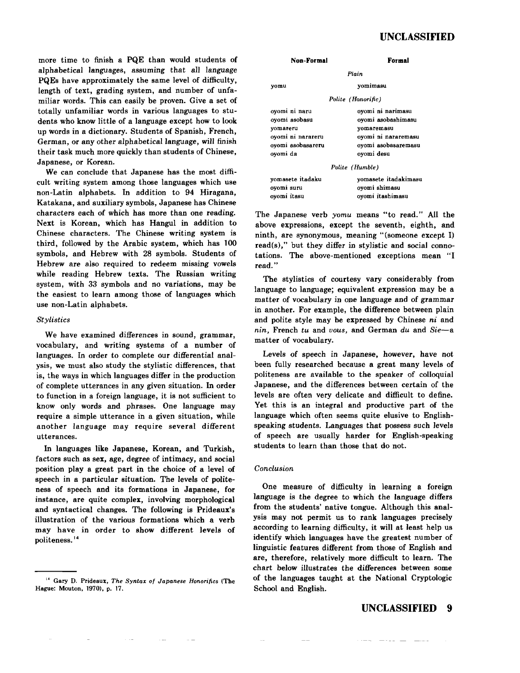more time to finish a PQE than would students of alphabetical languages, assuming that all language PQEs have approximately the same level of difficulty, length of text, grading system, and number of unfamiliar words. This can easily be proven. Give a set of totally unfamiliar words in various languages to students who know little of a language except how to look up words in a dictionary. Students of Spanish, French, German, or any other alphabetical language, will finish their task much more quickly than students of Chinese, Japanese, or Korean.

We can conclude that Japanese has the most difficult writing system among those languages which use non-Latin alphabets. In addition to 94 Hiragana, Katakana, and auxiliary symbols, Japanese has Chinese characters each of which has more than one reading. Next is Korean, which has Hangul in addition to Chinese characters. The Chinese writing system is third, followed by the Arabic system, which has 100 symbols, and Hebrew with 28 symbols. Students of Hebrew are also required to redeem missing vowels while reading Hebrew texts. The Russian writing system, with 33 symbols and no variations, may be the easiest to learn among those of languages which use non-Latin alphabets.

## *Stylistics*

We have examined differences in sound, grammar, vocabulary, and writing systems of a number of languages. In order to complete our differential analysis, we must also study the stylistic differences, that is, the ways in which languages differ in the production of complete utterances in any given situation. In order to function in a foreign language, it is not sufficient to know only words and phrases. One language may require a simple utterance in a given situation, while another language may require several different utterances.

In languages like Japanese, Korean, and Turkish, factors such as sex, age, degree of intimacy, and social position play a great part in the choice of a level of speech in a particular situation. The levels of politeness of speech and its formations in Japanese, for instance, are quite complex, involving morphological and syntactical changes. The following is Prideaux's illustration of the various formations which a verb may have in order to show different levels of politeness. <sup>14</sup>

| Non-Formal                                         | Formal                                                    |  |  |  |  |  |  |  |
|----------------------------------------------------|-----------------------------------------------------------|--|--|--|--|--|--|--|
| Plain                                              |                                                           |  |  |  |  |  |  |  |
| yomu                                               | vomimasu                                                  |  |  |  |  |  |  |  |
|                                                    | Polite (Honorific)                                        |  |  |  |  |  |  |  |
| oyomi ni naru<br>ovomi asobasu<br>vomateru         | oyomi ni narimasu<br>ovomi asobashimasu<br>vomaremasu     |  |  |  |  |  |  |  |
| ovomi ni narareru<br>oyomi asobasareru<br>ovomi da | oyomi ni nararemasu<br>oyomi asobasaremasu<br>oyomi desu  |  |  |  |  |  |  |  |
|                                                    | Polite (Humble)                                           |  |  |  |  |  |  |  |
| yomasete itadaku<br>oyomi suru<br>ovomi itasu      | vomasete itadakimasu<br>oyomi shimasu<br>ovomi itashimasu |  |  |  |  |  |  |  |

The Japanese verb *yomu* means "to read." All the above expressions, except the seventh, eighth, and ninth, are synonymous, meaning "(someone except I) read(s)," but they differ in stylistic and social connotations. The above-mentioned exceptions mean "I read. "

The stylistics of courtesy vary considerably from language to language; equivalent expression may be a matter of vocabulary in one language and of grammar in another. For example, the difference between plain and polite style may be expressed by Chinese *ni* and *nin,* French *tu* and *uous,* and German *du* and *Sie-a* matter of vocabulary.

Levels of speech in Japanese, however, have not been fully researched because a great many levels of politeness are available to the speaker of colloquial Japanese, and the differences between certain of the levels are often very delicate and difficult to define. Yet this is an integral and productive part of the language which often seems quite elusive to Englishspeaking students. Languages that possess such levels of speech are usually harder for English-speaking students to learn than those that do not.

#### *Conclusion*

One measure of difficulty in learning a foreign language is the degree to which the language differs from the students' native tongue. Although this analysis may not permit us to rank languages precisely according to learning difficulty, it will at least help us identify which languages have the greatest number of linguistic features different from those of English and are, therefore, relatively more difficult to learn. The chart below illustrates the differences between some of the languages taught at the National Cryptologic School and English.

<sup>14</sup> Gary D. Prideaux, *The Syntax of Japanese Honorifics* (The Hague: Mouton, 1970), p. 17.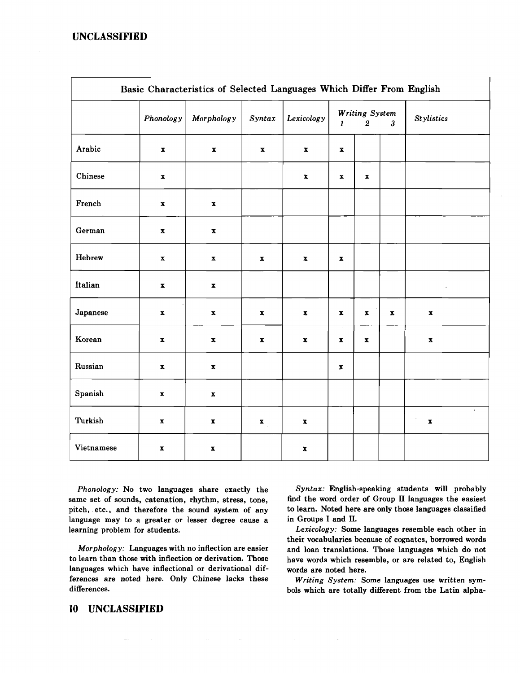| Basic Characteristics of Selected Languages Which Differ From English |                    |                           |                           |                    |                                                                  |                    |                           |                    |  |
|-----------------------------------------------------------------------|--------------------|---------------------------|---------------------------|--------------------|------------------------------------------------------------------|--------------------|---------------------------|--------------------|--|
|                                                                       | Phonology          | Morphology                | Syntax                    | Lexicology         | Writing System<br>$\overline{2}$<br>$\mathbf{3}$<br>$\mathbf{I}$ |                    |                           | <b>Stylistics</b>  |  |
| Arabic                                                                | $\mathbf x$        | $\mathbf x$               | $\pmb{\mathbf{x}}$        | $\pmb{\mathbf{x}}$ | $\pmb{\mathbf{x}}$                                               |                    |                           |                    |  |
| Chinese                                                               | $\pmb{\mathbf{x}}$ |                           |                           | $\pmb{\mathbf{x}}$ | $\boldsymbol{\mathrm{x}}$                                        | $\mathbf{x}$       |                           |                    |  |
| French                                                                | $\pmb{\mathbb{X}}$ | $\boldsymbol{\mathrm{x}}$ |                           |                    |                                                                  |                    |                           |                    |  |
| German                                                                | $\mathbf x$        | $\pmb{\mathbf{x}}$        |                           |                    |                                                                  |                    |                           |                    |  |
| Hebrew                                                                | $\pmb{\mathbf{X}}$ | $\mathbf{x}$              | X                         | $\pmb{\mathbf{x}}$ | $\pmb{\mathbf{x}}$                                               |                    |                           |                    |  |
| Italian                                                               | $\pmb{\mathbf{x}}$ | $\pmb{\mathbf{x}}$        |                           |                    |                                                                  |                    |                           | $\cdot$            |  |
| Japanese                                                              | $\pmb{\mathbf{x}}$ | $\pmb{\mathbf{x}}$        | $\boldsymbol{\mathrm{x}}$ | $\pmb{\mathbf{x}}$ | $\pmb{\mathbf{x}}$                                               | $\pmb{\mathbf{x}}$ | $\boldsymbol{\mathrm{x}}$ | $\pmb{\mathbf{x}}$ |  |
| Korean                                                                | $\pmb{\mathbf{x}}$ | $\mathbf x$               | $\boldsymbol{\mathrm{x}}$ | $\pmb{\mathbf{x}}$ | $\boldsymbol{\mathrm{x}}$                                        | $\mathbf{x}$       |                           | $\pmb{\mathbf{x}}$ |  |
| Russian                                                               | $\pmb{\mathbf{x}}$ | $\pmb{\mathbf{x}}$        |                           |                    | $\pmb{\mathbf{x}}$                                               |                    |                           |                    |  |
| Spanish                                                               | $\pmb{\mathbf{X}}$ | $\boldsymbol{x}$          |                           |                    |                                                                  |                    |                           |                    |  |
| Turkish                                                               | $\pmb{\mathbf{X}}$ | $\pmb{\mathbf{x}}$        | $\mathbf{x}_{\perp}$      | $\mathbf x$        |                                                                  |                    |                           | $\pmb{\mathbf{x}}$ |  |
| Vietnamese                                                            | $\pmb{\mathbf{x}}$ | $\pmb{\mathbf{x}}$        |                           | $\pmb{\mathbf{x}}$ |                                                                  |                    |                           |                    |  |

*Phonology:* No two languages share exactly the same set of sounds, catenation, rhythm, stress, tone, pitch, etc., and therefore the sound system of any language may to a greater or lesser degree cause a learning problem for students.

*Morphology:* Languages with no inflection are easier to learn than those with inflection or derivation. Those languages which have inflectional or derivational differences are noted here. Only Chinese lacks these differences.

 $\sim$ 

*Syntax:* English-speaking students will probably find the word order of Group IT languages the easiest to learn. Noted here are only those languages classified in Groups I and IT.

*Lexicolog*y: Some languages resemble each otber in their vocabularies because of cognates, borrowed words and loan translations. Those languages which do not have words which resemble, or are related to, English words are noted here.

*Writing System:* Some languages use written symbols which are totally different from the Latin alpha-

## **10 UNCLASSIFIED**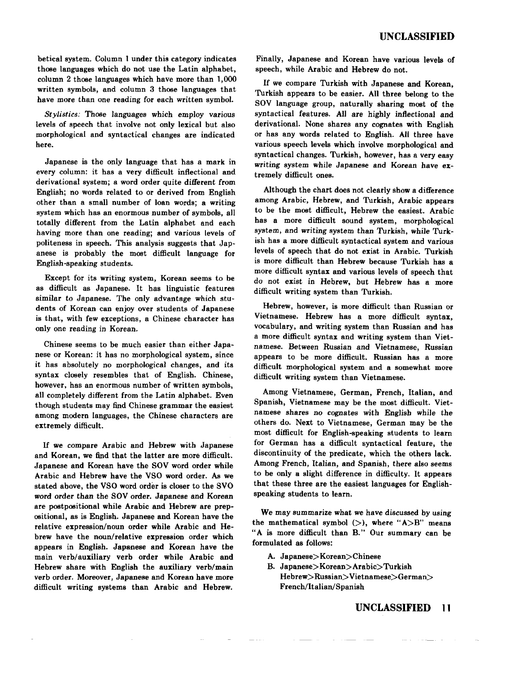betical system. Column 1 under this category indicates those languages which do not use the Latin alphabet, column 2 those languages which have more than 1,000 written symbols, and column 3 those languages that have more than one reading for each written symbol.

*Stylistics:* Those languages which employ various levels of speech that involve not only lexical but also morphological and syntactical changes are indicated here.

Japanese is the only language that has a mark in every column: it has a very difficult inflectional and derivational system; a word order quite different from English; no words related to or derived from English other than a small number of loan words; a writing system which has an enormous number of symbols, all totally different from the Latin alphabet and each having more than one reading; and various levels of politeness in speech. This analysis suggests that Japanese is probably the most difficult language for English-speaking students.

Except for its writing system, Korean seems to be as difficult as Japanese. It has linguistic features similar to Japanese. The only advantage which students of Korean can enjoy over students of Japanese is that, with few exceptions, a Chinese character has only one reading in Korean.

Chinese seems to be much easier than either Japanese or Korean: it has no morphological system, since it has absolutely no morphological changes, and its syntax closely resembles that of English. Chinese, however, has an enormous number of written symbols, all completely different from the Latin alphabet. Even though students may find Chinese grammar the easiest among modern languages, the Chinese characters are extremely difficult.

If we compare Arabic and Hebrew with Japanese and Korean, we find that the latter are more difficult. Japanese and Korean have the SOV word order while Arabic and Hebrew have the VSO word order. As we stated above, the VSO word order is closer to the SVO word order than the SOY order. Japanese and Korean are postpositional while Arabic and Hebrew are prepositional, as is English. Japanese and Korean have the relative expression/noun order while Arabic and Hebrew have the noun/relative expression order which appears in English. Japanese and Korean have the main verb/auxiliary verb order while Arabic and Hebrew share with English the auxiliary verb/main verb order. Moreover, Japanese and Korean have more difficult writing systems than Arabic and Hebrew.

Finally, Japanese and Korean have various levels of speech, while Arabic and Hebrew do not.

If we compare Turkish with Japanese and Korean, Turkish appears to be easier. All three belong to the SOY language group, naturally sharing most of the syntactical features. All are highly inflectional and derivational. None shares any cognates with English or has any words related to English. All three have various speech levels which involve morphological and syntactical changes. Turkish, however, has a very easy writing system while Japanese and Korean have extremely difficult ones.

Although the chart does not clearly show a difference among Arabic, Hebrew, and Turkish, Arabic appears to be the most difficult, Hebrew the easiest. Arabic has a more difficult sound system, morphological system, and writing system than Turkish, while Turkish has a more difficult syntactical system and various levels of speech that do not exist in Arabic. Turkish is more difficult than Hebrew because Turkish has a more difficult syntax and various levels of speech that do not exist in Hebrew, but Hebrew has a more difficult writing system than Turkish.

Hebrew, however, is more difficult than Russian or Vietnamese. Hebrew has a more difficult syntax, vocabulary, and writing system than Russian and has a more difficult syntax and writing system than Vietnamese. Between Russian and Vietnamese, Russian appears to be more difficult. Russian has a more difficult morphological system and a somewhat more difficult writing system than Vietnamese.

Among Vietnamese, German, French, Italian, and Spanish, Vietnamese may be the most difficult. Vietnamese shares no cognates with English while the others do. Next to Vietnamese, German may be the most difficult for English-speaking students to learn for German has a difficult syntactical feature, the discontinuity of the predicate, which the others lack. Among French, Italian, and Spanish, there also seems to be only a slight difference in difficulty. It appears that these three are the easiest languages for Englishspeaking students to learn.

We may summarize what we have discussed by using the mathematical symbol  $(>)$ , where "A $>$ B" means "A is more difficult than B." Our summary can be formulated as follows:

- A. Japanese>Korean>Chinese
- B. Japanese>Korean>Arabic>Turkish Hebrew>Russian>Vietnamese>German> French/Italian/Spanish